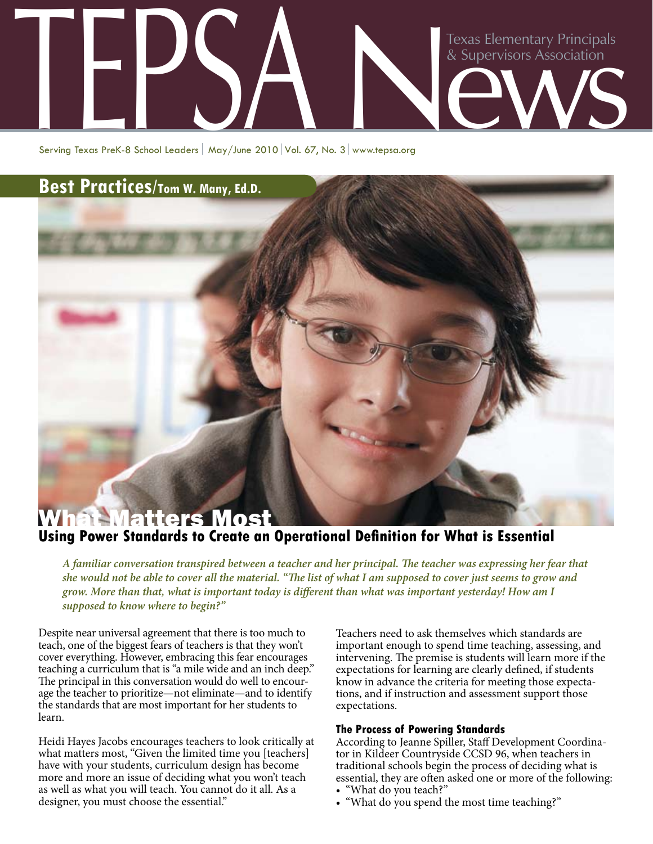# Texas Elementary Principals<br>& Supervisors Association Texas Elementary Principals<br>& Supervisors Association<br>Serving Texas Prek-8 School Leaders | May/June 2010 | Vol. 67, No. 3 | www.tepsa.org

Serving Texas PreK-8 School Leaders | May/June 2010 Vol. 67, No. 3 www.tepsa.org

## **Best Practices/Tom W. Many, Ed.D.**

# What Matters Most **Using Power Standards to Create an Operational Definition for What is Essential**

*A familiar conversation transpired between a teacher and her principal. The teacher was expressing her fear that she would not be able to cover all the material. "The list of what I am supposed to cover just seems to grow and grow. More than that, what is important today is different than what was important yesterday! How am I supposed to know where to begin?"* 

Despite near universal agreement that there is too much to teach, one of the biggest fears of teachers is that they won't cover everything. However, embracing this fear encourages teaching a curriculum that is "a mile wide and an inch deep." The principal in this conversation would do well to encourage the teacher to prioritize—not eliminate—and to identify the standards that are most important for her students to learn.

Heidi Hayes Jacobs encourages teachers to look critically at what matters most, "Given the limited time you [teachers] have with your students, curriculum design has become more and more an issue of deciding what you won't teach as well as what you will teach. You cannot do it all. As a designer, you must choose the essential."

Teachers need to ask themselves which standards are important enough to spend time teaching, assessing, and intervening. The premise is students will learn more if the expectations for learning are clearly defined, if students know in advance the criteria for meeting those expectations, and if instruction and assessment support those expectations.

### **The Process of Powering Standards**

According to Jeanne Spiller, Staff Development Coordinator in Kildeer Countryside CCSD 96, when teachers in traditional schools begin the process of deciding what is essential, they are often asked one or more of the following:

- "What do you teach?"
- "What do you spend the most time teaching?"